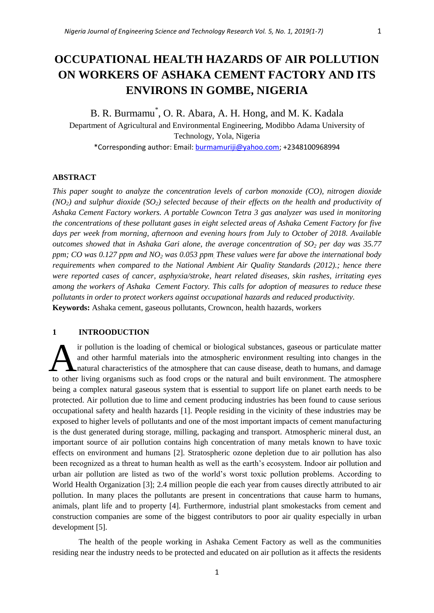# **OCCUPATIONAL HEALTH HAZARDS OF AIR POLLUTION**

# **ON WORKERS OF ASHAKA CEMENT FACTORY AND ITS ENVIRONS IN GOMBE, NIGERIA**

B. R. Burmamu\* , O. R. Abara, A. H. Hong, and M. K. Kadala Department of Agricultural and Environmental Engineering, Modibbo Adama University of Technology, Yola, Nigeria \*Corresponding author: Email: [burmamuriji@yahoo.com;](mailto:burmamuriji@yahoo.com) +2348100968994

#### **ABSTRACT**

*This paper sought to analyze the concentration levels of carbon monoxide (CO), nitrogen dioxide (NO2) and sulphur dioxide (SO2) selected because of their effects on the health and productivity of Ashaka Cement Factory workers. A portable Cowncon Tetra 3 gas analyzer was used in monitoring the concentrations of these pollutant gases in eight selected areas of Ashaka Cement Factory for five days per week from morning, afternoon and evening hours from July to October of 2018. Available outcomes showed that in Ashaka Gari alone, the average concentration of SO<sup>2</sup> per day was 35.77 ppm; CO was 0.127 ppm and NO<sup>2</sup> was 0.053 ppm. These values were far above the international body requirements when compared to the National Ambient Air Quality Standards (2012).; hence there were reported cases of cancer, asphyxia/stroke, heart related diseases, skin rashes, irritating eyes among the workers of Ashaka Cement Factory. This calls for adoption of measures to reduce these pollutants in order to protect workers against occupational hazards and reduced productivity.* **Keywords:** Ashaka cement, gaseous pollutants, Crowncon, health hazards, workers

## **1 INTROODUCTION**

ir pollution is the loading of chemical or biological substances, gaseous or particulate matter and other harmful materials into the atmospheric environment resulting into changes in the natural characteristics of the atmosphere that can cause disease, death to humans, and damage If pollution is the loading of chemical or biological substances, gaseous or particulate matter and other harmful materials into the atmospheric environment resulting into changes in the natural characteristics of the atmo being a complex natural gaseous system that is essential to support life on planet earth needs to be protected. Air pollution due to lime and cement producing industries has been found to cause serious occupational safety and health hazards [1]. People residing in the vicinity of these industries may be exposed to higher levels of pollutants and one of the most important impacts of cement manufacturing is the dust generated during storage, milling, packaging and transport. Atmospheric mineral dust, an important source of air pollution contains high concentration of many metals known to have toxic effects on environment and humans [2]. Stratospheric ozone depletion due to air pollution has also been recognized as a threat to human health as well as the earth's ecosystem. Indoor air pollution and urban air pollution are listed as two of the world's worst toxic pollution problems. According to World Health Organization [3]; 2.4 million people die each year from causes directly attributed to air pollution. In many places the pollutants are present in concentrations that cause harm to humans, animals, plant life and to property [4]. Furthermore, industrial plant smokestacks from cement and construction companies are some of the biggest contributors to poor air quality especially in urban development [5].

The health of the people working in Ashaka Cement Factory as well as the communities residing near the industry needs to be protected and educated on air pollution as it affects the residents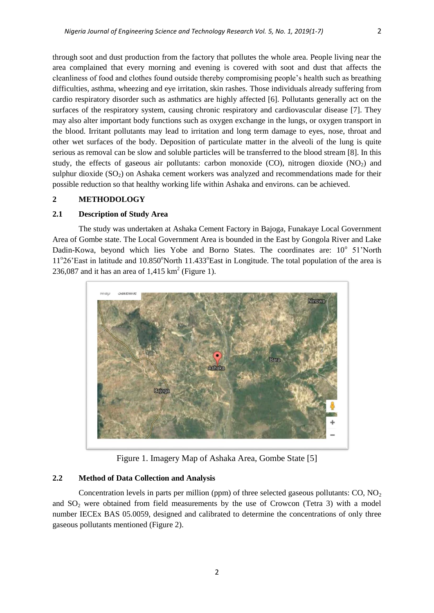through soot and dust production from the factory that pollutes the whole area. People living near the area complained that every morning and evening is covered with soot and dust that affects the cleanliness of food and clothes found outside thereby compromising people's health such as breathing difficulties, asthma, wheezing and eye irritation, skin rashes. Those individuals already suffering from cardio respiratory disorder such as asthmatics are highly affected [6]. Pollutants generally act on the surfaces of the respiratory system, causing chronic respiratory and cardiovascular disease [7]. They may also alter important body functions such as oxygen exchange in the lungs, or oxygen transport in the blood. Irritant pollutants may lead to irritation and long term damage to eyes, nose, throat and other wet surfaces of the body. Deposition of particulate matter in the alveoli of the lung is quite serious as removal can be slow and soluble particles will be transferred to the blood stream [8]. In this study, the effects of gaseous air pollutants: carbon monoxide (CO), nitrogen dioxide ( $NO<sub>2</sub>$ ) and sulphur dioxide  $(SO<sub>2</sub>)$  on Ashaka cement workers was analyzed and recommendations made for their possible reduction so that healthy working life within Ashaka and environs. can be achieved.

#### **2 METHODOLOGY**

#### **2.1 Description of Study Area**

The study was undertaken at Ashaka Cement Factory in Bajoga, Funakaye Local Government Area of Gombe state. The Local Government Area is bounded in the East by Gongola River and Lake Dadin-Kowa, beyond which lies Yobe and Borno States. The coordinates are: 10° 51'North 11°26'East in latitude and 10.850°North 11.433°East in Longitude. The total population of the area is 236,087 and it has an area of  $1,415 \text{ km}^2$  (Figure 1).



Figure 1. Imagery Map of Ashaka Area, Gombe State [5]

#### **2.2 Method of Data Collection and Analysis**

Concentration levels in parts per million (ppm) of three selected gaseous pollutants:  $CO, NO<sub>2</sub>$ and  $SO<sub>2</sub>$  were obtained from field measurements by the use of Crowcon (Tetra 3) with a model number IECEx BAS 05.0059, designed and calibrated to determine the concentrations of only three gaseous pollutants mentioned (Figure 2).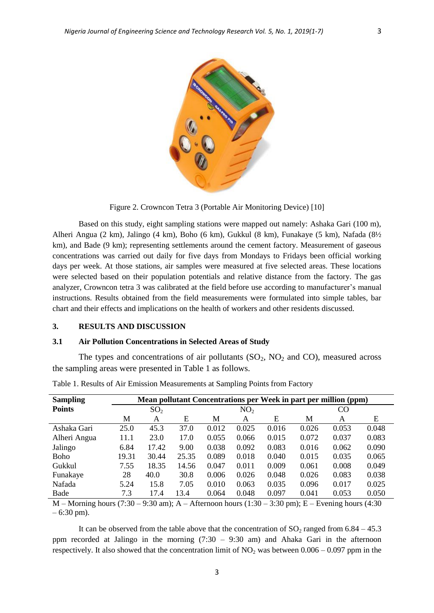

Figure 2. Crowncon Tetra 3 (Portable Air Monitoring Device) [10]

Based on this study, eight sampling stations were mapped out namely: Ashaka Gari (100 m), Alheri Angua (2 km), Jalingo (4 km), Boho (6 km), Gukkul (8 km), Funakaye (5 km), Nafada (8½ km), and Bade (9 km); representing settlements around the cement factory. Measurement of gaseous concentrations was carried out daily for five days from Mondays to Fridays been official working days per week. At those stations, air samples were measured at five selected areas. These locations were selected based on their population potentials and relative distance from the factory. The gas analyzer, Crowncon tetra 3 was calibrated at the field before use according to manufacturer's manual instructions. Results obtained from the field measurements were formulated into simple tables, bar chart and their effects and implications on the health of workers and other residents discussed.

#### **3. RESULTS AND DISCUSSION**

#### **3.1 Air Pollution Concentrations in Selected Areas of Study**

The types and concentrations of air pollutants  $(SO_2, NO_2 \text{ and } CO)$ , measured across the sampling areas were presented in Table 1 as follows.

| <b>Sampling</b>                                                                       | Mean pollutant Concentrations per Week in part per million (ppm) |       |       |                 |                                                  |       |       |       |       |
|---------------------------------------------------------------------------------------|------------------------------------------------------------------|-------|-------|-----------------|--------------------------------------------------|-------|-------|-------|-------|
| <b>Points</b>                                                                         | SO <sub>2</sub>                                                  |       |       | NO <sub>2</sub> |                                                  |       | CO.   |       |       |
|                                                                                       | M                                                                | A     | E     | М               | A                                                | Ε     | М     | A     | Ε     |
| Ashaka Gari                                                                           | 25.0                                                             | 45.3  | 37.0  | 0.012           | 0.025                                            | 0.016 | 0.026 | 0.053 | 0.048 |
| Alheri Angua                                                                          | 11.1                                                             | 23.0  | 17.0  | 0.055           | 0.066                                            | 0.015 | 0.072 | 0.037 | 0.083 |
| Jalingo                                                                               | 6.84                                                             | 17.42 | 9.00  | 0.038           | 0.092                                            | 0.083 | 0.016 | 0.062 | 0.090 |
| Boho                                                                                  | 19.31                                                            | 30.44 | 25.35 | 0.089           | 0.018                                            | 0.040 | 0.015 | 0.035 | 0.065 |
| Gukkul                                                                                | 7.55                                                             | 18.35 | 14.56 | 0.047           | 0.011                                            | 0.009 | 0.061 | 0.008 | 0.049 |
| Funakaye                                                                              | 28                                                               | 40.0  | 30.8  | 0.006           | 0.026                                            | 0.048 | 0.026 | 0.083 | 0.038 |
| Nafada                                                                                | 5.24                                                             | 15.8  | 7.05  | 0.010           | 0.063                                            | 0.035 | 0.096 | 0.017 | 0.025 |
| Bade                                                                                  | 7.3                                                              | 17.4  | 13.4  | 0.064           | 0.048                                            | 0.097 | 0.041 | 0.053 | 0.050 |
| $\mathbf{M}$ $\mathbf{M}$ = $\mathbf{M}$ = $\mathbf{M}$ = $\mathbf{M}$ = $\mathbf{M}$ | $(7.20 \t 0.20 \t \cdot \t 1.20$                                 |       |       |                 | $2.20 \ldots$ . $E = E_{\text{total}}$ . $1.200$ |       |       |       |       |

Table 1. Results of Air Emission Measurements at Sampling Points from Factory

M – Morning hours (7:30 – 9:30 am); A – Afternoon hours (1:30 – 3:30 pm); E – Evening hours (4:30  $-6:30 \text{ pm}$ ).

It can be observed from the table above that the concentration of  $SO_2$  ranged from 6.84 – 45.3 ppm recorded at Jalingo in the morning (7:30 – 9:30 am) and Ahaka Gari in the afternoon respectively. It also showed that the concentration limit of  $NO<sub>2</sub>$  was between  $0.006 - 0.097$  ppm in the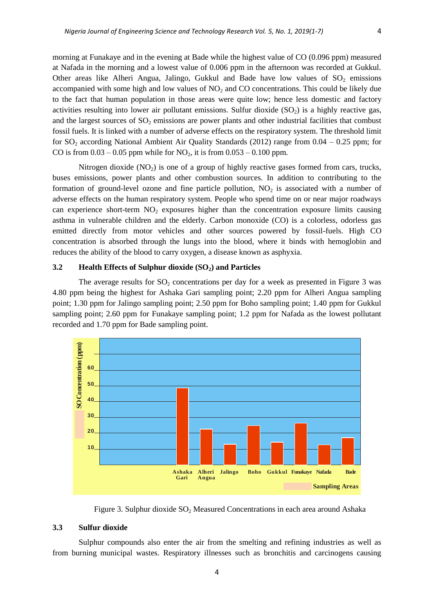morning at Funakaye and in the evening at Bade while the highest value of CO (0.096 ppm) measured at Nafada in the morning and a lowest value of 0.006 ppm in the afternoon was recorded at Gukkul. Other areas like Alheri Angua, Jalingo, Gukkul and Bade have low values of  $SO_2$  emissions accompanied with some high and low values of  $NO<sub>2</sub>$  and  $CO$  concentrations. This could be likely due to the fact that human population in those areas were quite low; hence less domestic and factory activities resulting into lower air pollutant emissions. Sulfur dioxide  $(SO<sub>2</sub>)$  is a highly reactive gas, and the largest sources of  $SO_2$  emissions are power plants and other industrial facilities that combust fossil fuels. It is linked with a number of adverse effects on the respiratory system. The threshold limit for  $SO_2$  according National Ambient Air Quality Standards (2012) range from  $0.04 - 0.25$  ppm; for CO is from  $0.03 - 0.05$  ppm while for NO<sub>2</sub>, it is from  $0.053 - 0.100$  ppm.

Nitrogen dioxide  $(NO_2)$  is one of a group of highly reactive gases formed from cars, trucks, buses emissions, power plants and other combustion sources. In addition to contributing to the formation of ground-level ozone and fine particle pollution,  $NO<sub>2</sub>$  is associated with a number of adverse effects on the human respiratory system. People who spend time on or near major roadways can experience short-term  $NO<sub>2</sub>$  exposures higher than the concentration exposure limits causing asthma in vulnerable children and the elderly. Carbon monoxide (CO) is a colorless, odorless gas emitted directly from motor vehicles and other sources powered by fossil-fuels. High CO concentration is absorbed through the lungs into the blood, where it binds with hemoglobin and reduces the ability of the blood to carry oxygen, a disease known as asphyxia.

### **3.2 Health Effects of Sulphur dioxide (SO2) and Particles**

The average results for  $SO<sub>2</sub>$  concentrations per day for a week as presented in Figure 3 was 4.80 ppm being the highest for Ashaka Gari sampling point; 2.20 ppm for Alheri Angua sampling point; 1.30 ppm for Jalingo sampling point; 2.50 ppm for Boho sampling point; 1.40 ppm for Gukkul sampling point; 2.60 ppm for Funakaye sampling point; 1.2 ppm for Nafada as the lowest pollutant recorded and 1.70 ppm for Bade sampling point.



Figure 3. Sulphur dioxide  $SO<sub>2</sub>$  Measured Concentrations in each area around Ashaka

#### **3.3 Sulfur dioxide**

Sulphur compounds also enter the air from the smelting and refining industries as well as from burning municipal wastes. Respiratory illnesses such as bronchitis and carcinogens causing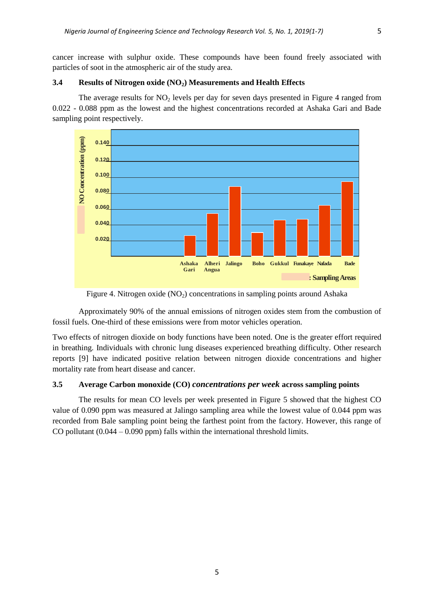cancer increase with sulphur oxide. These compounds have been found freely associated with particles of soot in the atmospheric air of the study area.

#### **3.4 Results of Nitrogen oxide (NO2) Measurements and Health Effects**

The average results for  $NO<sub>2</sub>$  levels per day for seven days presented in Figure 4 ranged from 0.022 - 0.088 ppm as the lowest and the highest concentrations recorded at Ashaka Gari and Bade sampling point respectively.



Figure 4. Nitrogen oxide  $(NO<sub>2</sub>)$  concentrations in sampling points around Ashaka

Approximately 90% of the annual emissions of nitrogen oxides stem from the combustion of fossil fuels. One-third of these emissions were from motor vehicles operation.

Two effects of nitrogen dioxide on body functions have been noted. One is the greater effort required in breathing. Individuals with chronic lung diseases experienced breathing difficulty. Other research reports [9] have indicated positive relation between nitrogen dioxide concentrations and higher mortality rate from heart disease and cancer.

#### **3.5 Average Carbon monoxide (CO)** *concentrations per week* **across sampling points**

The results for mean CO levels per week presented in Figure 5 showed that the highest CO value of 0.090 ppm was measured at Jalingo sampling area while the lowest value of 0.044 ppm was recorded from Bale sampling point being the farthest point from the factory. However, this range of CO pollutant  $(0.044 - 0.090$  ppm) falls within the international threshold limits.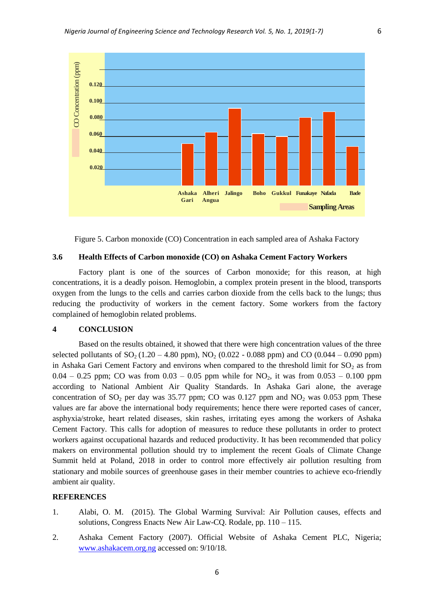

Figure 5. Carbon monoxide (CO) Concentration in each sampled area of Ashaka Factory

#### **3.6 Health Effects of Carbon monoxide (CO) on Ashaka Cement Factory Workers**

Factory plant is one of the sources of Carbon monoxide; for this reason, at high concentrations, it is a deadly poison. Hemoglobin, a complex protein present in the blood, transports oxygen from the lungs to the cells and carries carbon dioxide from the cells back to the lungs; thus reducing the productivity of workers in the cement factory. Some workers from the factory complained of hemoglobin related problems.

#### **4 CONCLUSION**

Based on the results obtained, it showed that there were high concentration values of the three selected pollutants of  $SO_2 (1.20 - 4.80 \text{ ppm})$ , NO<sub>2</sub> (0.022 - 0.088 ppm) and CO (0.044 – 0.090 ppm) in Ashaka Gari Cement Factory and environs when compared to the threshold limit for  $SO<sub>2</sub>$  as from  $0.04 - 0.25$  ppm; CO was from  $0.03 - 0.05$  ppm while for NO<sub>2</sub>, it was from  $0.053 - 0.100$  ppm according to National Ambient Air Quality Standards. In Ashaka Gari alone, the average concentration of  $SO_2$  per day was 35.77 ppm; CO was 0.127 ppm and  $NO_2$  was 0.053 ppm. These values are far above the international body requirements; hence there were reported cases of cancer, asphyxia/stroke, heart related diseases, skin rashes, irritating eyes among the workers of Ashaka Cement Factory. This calls for adoption of measures to reduce these pollutants in order to protect workers against occupational hazards and reduced productivity. It has been recommended that policy makers on environmental pollution should try to implement the recent Goals of Climate Change Summit held at Poland, 2018 in order to control more effectively air pollution resulting from stationary and mobile sources of greenhouse gases in their member countries to achieve eco-friendly ambient air quality.

#### **REFERENCES**

- 1. Alabi, O. M. (2015). The Global Warming Survival: Air Pollution causes, effects and solutions, Congress Enacts New Air Law-CQ. Rodale, pp. 110 – 115.
- 2. Ashaka Cement Factory (2007). Official Website of Ashaka Cement PLC, Nigeria; [www.ashakacem.org.ng](http://www.ashakacem.org.ng/) accessed on: 9/10/18.